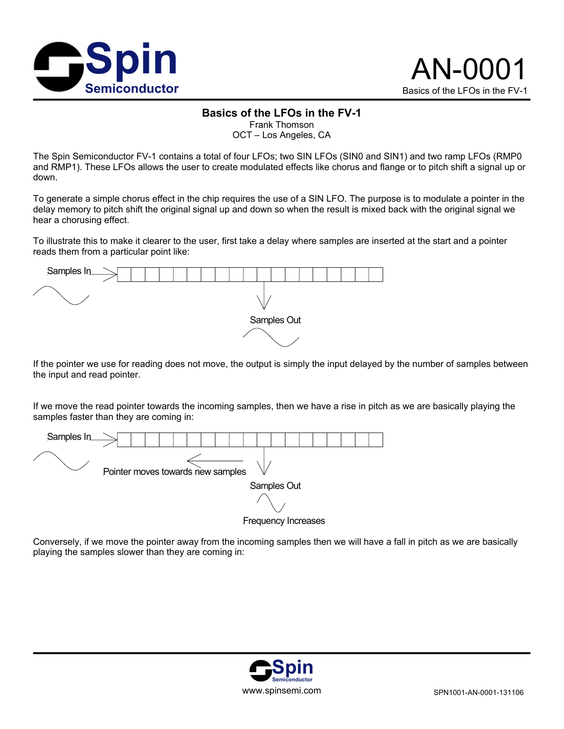



## **Basics of the LFOs in the FV-1**

Frank Thomson

OCT – Los Angeles, CA

The Spin Semiconductor FV-1 contains a total of four LFOs; two SIN LFOs (SIN0 and SIN1) and two ramp LFOs (RMP0 and RMP1). These LFOs allows the user to create modulated effects like chorus and flange or to pitch shift a signal up or down.

To generate a simple chorus effect in the chip requires the use of a SIN LFO. The purpose is to modulate a pointer in the delay memory to pitch shift the original signal up and down so when the result is mixed back with the original signal we hear a chorusing effect.

To illustrate this to make it clearer to the user, first take a delay where samples are inserted at the start and a pointer reads them from a particular point like:



If the pointer we use for reading does not move, the output is simply the input delayed by the number of samples between the input and read pointer.

If we move the read pointer towards the incoming samples, then we have a rise in pitch as we are basically playing the samples faster than they are coming in:



Frequency Increases

Conversely, if we move the pointer away from the incoming samples then we will have a fall in pitch as we are basically playing the samples slower than they are coming in:

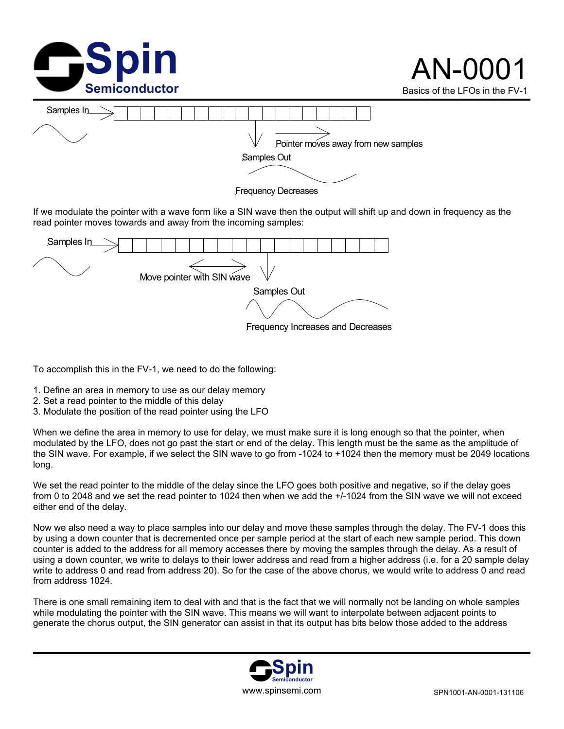

If we modulate the pointer with a wave form like a SIN wave then the output will shift up and down in frequency as the read pointer moves towards and away from the incoming samples:



To accomplish this in the FV-1, we need to do the following:

- 1. Define an area in memory to use as our delay memory
- 2. Set a read pointer to the middle of this delay
- 3. Modulate the position of the read pointer using the LFO

When we define the area in memory to use for delay, we must make sure it is long enough so that the pointer, when modulated by the LFO, does not go past the start or end of the delay. This length must be the same as the amplitude of the SIN wave. For example, if we select the SIN wave to go from -1024 to +1024 then the memory must be 2049 locations long.

We set the read pointer to the middle of the delay since the LFO goes both positive and negative, so if the delay goes from 0 to 2048 and we set the read pointer to 1024 then when we add the +/-1024 from the SIN wave we will not exceed either end of the delay.

Now we also need a way to place samples into our delay and move these samples through the delay. The FV-1 does this by using a down counter that is decremented once per sample period at the start of each new sample period. This down counter is added to the address for all memory accesses there by moving the samples through the delay. As a result of using a down counter, we write to delays to their lower address and read from a higher address (i.e. for a 20 sample delay write to address 0 and read from address 20). So for the case of the above chorus, we would write to address 0 and read from address 1024.

There is one small remaining item to deal with and that is the fact that we will normally not be landing on whole samples while modulating the pointer with the SIN wave. This means we will want to interpolate between adjacent points to generate the chorus output, the SIN generator can assist in that its output has bits below those added to the address

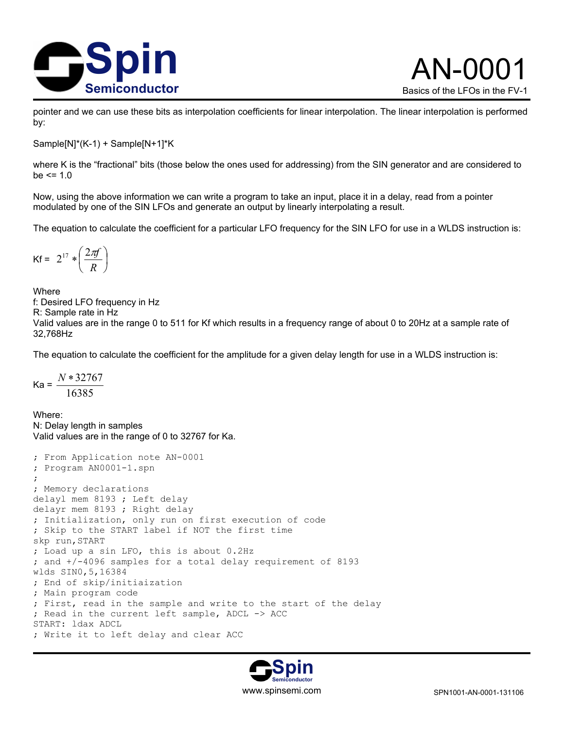

pointer and we can use these bits as interpolation coefficients for linear interpolation. The linear interpolation is performed by:

Sample[N]\*(K-1) + Sample[N+1]\*K

where K is the "fractional" bits (those below the ones used for addressing) from the SIN generator and are considered to  $be \le 1.0$ 

Now, using the above information we can write a program to take an input, place it in a delay, read from a pointer modulated by one of the SIN LFOs and generate an output by linearly interpolating a result.

The equation to calculate the coefficient for a particular LFO frequency for the SIN LFO for use in a WLDS instruction is:

$$
\mathsf{Kf} = 2^{17} * \left(\frac{2\pi f}{R}\right)
$$

Where f: Desired LFO frequency in Hz R: Sample rate in Hz Valid values are in the range 0 to 511 for Kf which results in a frequency range of about 0 to 20Hz at a sample rate of 32,768Hz

The equation to calculate the coefficient for the amplitude for a given delay length for use in a WLDS instruction is:

 $Ka = \frac{16385}{16385}$ *N* ∗32767

Where: N: Delay length in samples Valid values are in the range of 0 to 32767 for Ka.

```
; From Application note AN-0001 
; Program AN0001-1.spn 
; 
; Memory declarations 
delayl mem 8193 ; Left delay 
delayr mem 8193 ; Right delay 
; Initialization, only run on first execution of code 
; Skip to the START label if NOT the first time 
skp run,START 
; Load up a sin LFO, this is about 0.2Hz 
; and +/-4096 samples for a total delay requirement of 8193 
wlds SIN0,5,16384 
; End of skip/initiaization 
; Main program code 
; First, read in the sample and write to the start of the delay 
; Read in the current left sample, ADCL -> ACC 
START: ldax ADCL 
; Write it to left delay and clear ACC
```
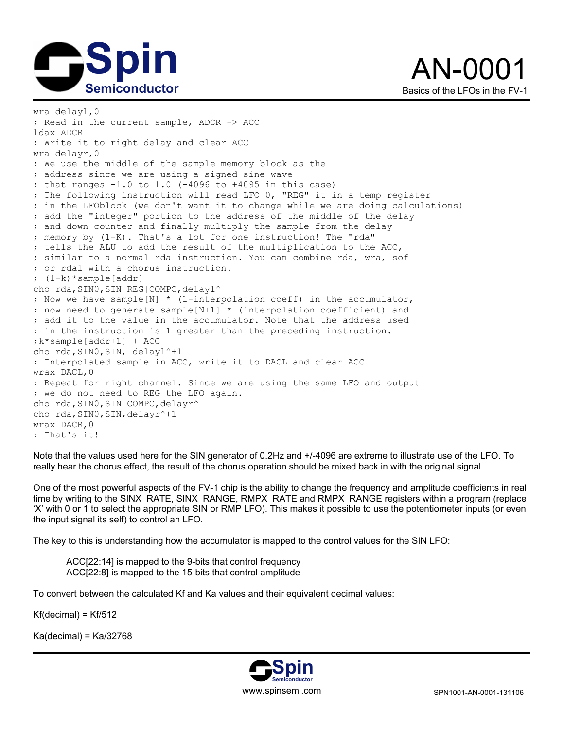



wra delayl,0 ; Read in the current sample, ADCR -> ACC ldax ADCR ; Write it to right delay and clear ACC wra delayr,0 ; We use the middle of the sample memory block as the ; address since we are using a signed sine wave ; that ranges  $-1.0$  to  $1.0$  (-4096 to +4095 in this case) ; The following instruction will read LFO 0, "REG" it in a temp register ; in the LFOblock (we don't want it to change while we are doing calculations) ; add the "integer" portion to the address of the middle of the delay ; and down counter and finally multiply the sample from the delay ; memory by (1-K). That's a lot for one instruction! The "rda" ; tells the ALU to add the result of the multiplication to the ACC, ; similar to a normal rda instruction. You can combine rda, wra, sof ; or rdal with a chorus instruction. ; (1-k)\*sample[addr] cho rda, SIN0, SIN|REG|COMPC, delayl^ ; Now we have sample[N] \* (1-interpolation coeff) in the accumulator, ; now need to generate sample[N+1] \* (interpolation coefficient) and ; add it to the value in the accumulator. Note that the address used ; in the instruction is 1 greater than the preceding instruction. ;k\*sample[addr+1] + ACC cho rda, SINO, SIN, delayl^+1 ; Interpolated sample in ACC, write it to DACL and clear ACC wrax DACL,0 ; Repeat for right channel. Since we are using the same LFO and output ; we do not need to REG the LFO again. cho rda, SIN0, SIN|COMPC, delayr^ cho rda, SINO, SIN, delayr^+1 wrax DACR,0 ; That's it!

Note that the values used here for the SIN generator of 0.2Hz and +/-4096 are extreme to illustrate use of the LFO. To really hear the chorus effect, the result of the chorus operation should be mixed back in with the original signal.

One of the most powerful aspects of the FV-1 chip is the ability to change the frequency and amplitude coefficients in real time by writing to the SINX\_RATE, SINX\_RANGE, RMPX\_RATE and RMPX\_RANGE registers within a program (replace 'X' with 0 or 1 to select the appropriate SIN or RMP LFO). This makes it possible to use the potentiometer inputs (or even the input signal its self) to control an LFO.

The key to this is understanding how the accumulator is mapped to the control values for the SIN LFO:

 ACC[22:14] is mapped to the 9-bits that control frequency ACC[22:8] is mapped to the 15-bits that control amplitude

To convert between the calculated Kf and Ka values and their equivalent decimal values:

 $Kf(decimal) = Kf/512$ 

Ka(decimal) = Ka/32768

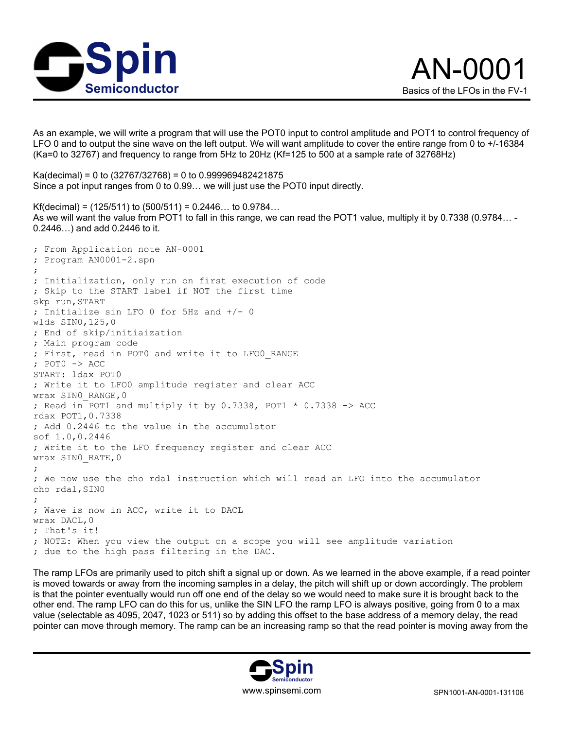

As an example, we will write a program that will use the POT0 input to control amplitude and POT1 to control frequency of LFO 0 and to output the sine wave on the left output. We will want amplitude to cover the entire range from 0 to +/-16384 (Ka=0 to 32767) and frequency to range from 5Hz to 20Hz (Kf=125 to 500 at a sample rate of 32768Hz)

Ka(decimal) = 0 to (32767/32768) = 0 to 0.999969482421875 Since a pot input ranges from 0 to 0.99… we will just use the POT0 input directly.

Kf(decimal) =  $(125/511)$  to  $(500/511)$  = 0.2446... to 0.9784... As we will want the value from POT1 to fall in this range, we can read the POT1 value, multiply it by 0.7338 (0.9784… - 0.2446…) and add 0.2446 to it.

; From Application note AN-0001 ; Program AN0001-2.spn ; ; Initialization, only run on first execution of code ; Skip to the START label if NOT the first time skp run,START ; Initialize sin LFO 0 for 5Hz and +/- 0 wlds SIN0,125,0 ; End of skip/initiaization ; Main program code ; First, read in POT0 and write it to LFO0\_RANGE ; POT0 -> ACC START: ldax POT0 ; Write it to LFO0 amplitude register and clear ACC wrax SINO RANGE, 0 ; Read in POT1 and multiply it by 0.7338, POT1 \* 0.7338 -> ACC rdax POT1,0.7338 ; Add 0.2446 to the value in the accumulator sof 1.0,0.2446 ; Write it to the LFO frequency register and clear ACC wrax SIN0\_RATE,0 ; ; We now use the cho rdal instruction which will read an LFO into the accumulator cho rdal,SIN0 ; ; Wave is now in ACC, write it to DACL wrax DACL,0 ; That's it! ; NOTE: When you view the output on a scope you will see amplitude variation ; due to the high pass filtering in the DAC.

The ramp LFOs are primarily used to pitch shift a signal up or down. As we learned in the above example, if a read pointer is moved towards or away from the incoming samples in a delay, the pitch will shift up or down accordingly. The problem is that the pointer eventually would run off one end of the delay so we would need to make sure it is brought back to the other end. The ramp LFO can do this for us, unlike the SIN LFO the ramp LFO is always positive, going from 0 to a max value (selectable as 4095, 2047, 1023 or 511) so by adding this offset to the base address of a memory delay, the read pointer can move through memory. The ramp can be an increasing ramp so that the read pointer is moving away from the

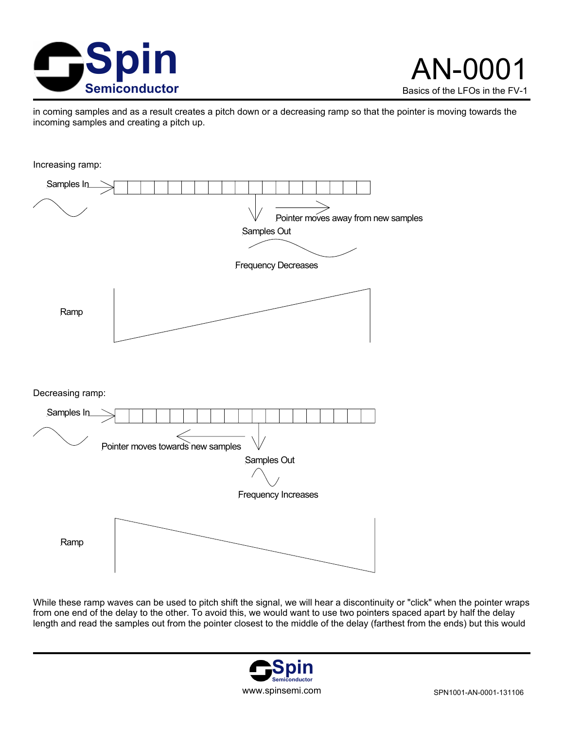

in coming samples and as a result creates a pitch down or a decreasing ramp so that the pointer is moving towards the incoming samples and creating a pitch up.



While these ramp waves can be used to pitch shift the signal, we will hear a discontinuity or "click" when the pointer wraps from one end of the delay to the other. To avoid this, we would want to use two pointers spaced apart by half the delay length and read the samples out from the pointer closest to the middle of the delay (farthest from the ends) but this would

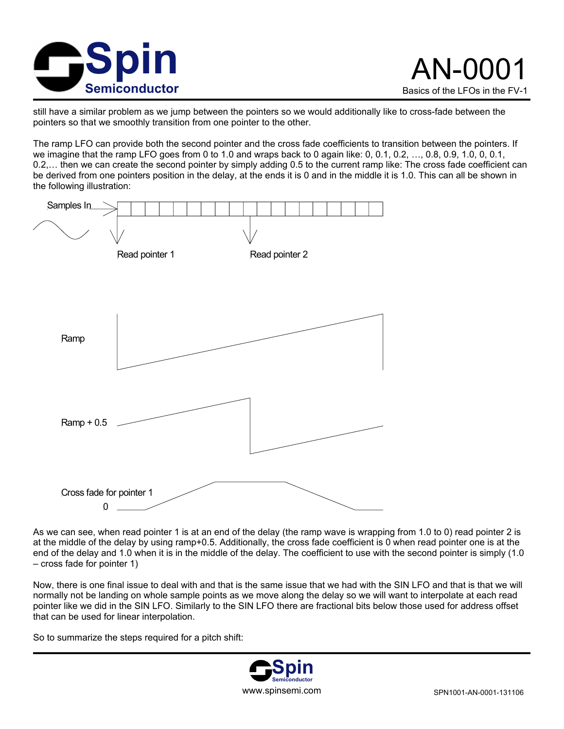

still have a similar problem as we jump between the pointers so we would additionally like to cross-fade between the pointers so that we smoothly transition from one pointer to the other.

The ramp LFO can provide both the second pointer and the cross fade coefficients to transition between the pointers. If we imagine that the ramp LFO goes from 0 to 1.0 and wraps back to 0 again like: 0, 0.1, 0.2, …, 0.8, 0.9, 1.0, 0, 0.1, 0.2,… then we can create the second pointer by simply adding 0.5 to the current ramp like: The cross fade coefficient can be derived from one pointers position in the delay, at the ends it is 0 and in the middle it is 1.0. This can all be shown in the following illustration:



As we can see, when read pointer 1 is at an end of the delay (the ramp wave is wrapping from 1.0 to 0) read pointer 2 is at the middle of the delay by using ramp+0.5. Additionally, the cross fade coefficient is 0 when read pointer one is at the end of the delay and 1.0 when it is in the middle of the delay. The coefficient to use with the second pointer is simply (1.0 – cross fade for pointer 1)

Now, there is one final issue to deal with and that is the same issue that we had with the SIN LFO and that is that we will normally not be landing on whole sample points as we move along the delay so we will want to interpolate at each read pointer like we did in the SIN LFO. Similarly to the SIN LFO there are fractional bits below those used for address offset that can be used for linear interpolation.

So to summarize the steps required for a pitch shift:

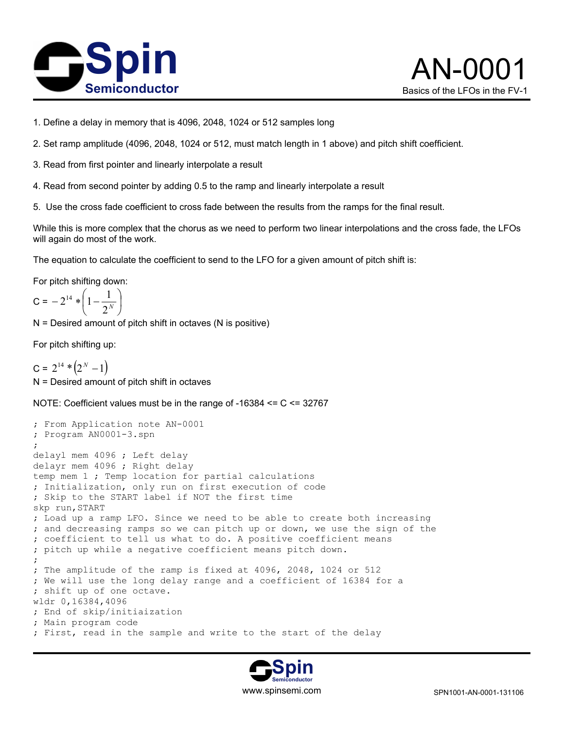



- 1. Define a delay in memory that is 4096, 2048, 1024 or 512 samples long
- 2. Set ramp amplitude (4096, 2048, 1024 or 512, must match length in 1 above) and pitch shift coefficient.
- 3. Read from first pointer and linearly interpolate a result
- 4. Read from second pointer by adding 0.5 to the ramp and linearly interpolate a result
- 5. Use the cross fade coefficient to cross fade between the results from the ramps for the final result.

While this is more complex that the chorus as we need to perform two linear interpolations and the cross fade, the LFOs will again do most of the work.

The equation to calculate the coefficient to send to the LFO for a given amount of pitch shift is:

For pitch shifting down:

$$
C = -2^{14} * \left(1 - \frac{1}{2^N}\right)
$$

N = Desired amount of pitch shift in octaves (N is positive)

For pitch shifting up:

 $C = 2^{14} * (2^N - 1)$ N = Desired amount of pitch shift in octaves

NOTE: Coefficient values must be in the range of -16384 <= C <= 32767

```
; From Application note AN-0001 
; Program AN0001-3.spn 
; 
delayl mem 4096 ; Left delay 
delayr mem 4096 ; Right delay 
temp mem 1 ; Temp location for partial calculations 
; Initialization, only run on first execution of code 
; Skip to the START label if NOT the first time 
skp run,START 
; Load up a ramp LFO. Since we need to be able to create both increasing 
; and decreasing ramps so we can pitch up or down, we use the sign of the 
; coefficient to tell us what to do. A positive coefficient means 
; pitch up while a negative coefficient means pitch down. 
; 
; The amplitude of the ramp is fixed at 4096, 2048, 1024 or 512 
; We will use the long delay range and a coefficient of 16384 for a 
; shift up of one octave. 
wldr 0,16384,4096 
; End of skip/initiaization 
; Main program code 
; First, read in the sample and write to the start of the delay
```
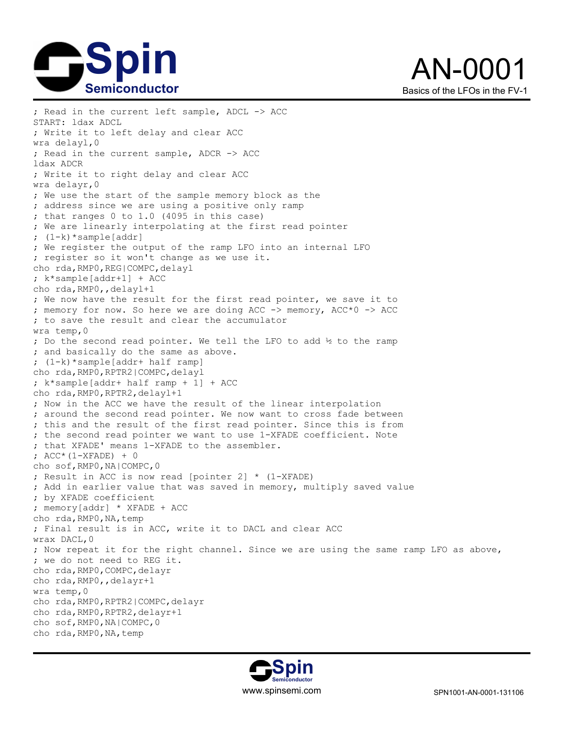



; Read in the current left sample, ADCL -> ACC START: ldax ADCL ; Write it to left delay and clear ACC wra delayl,0 ; Read in the current sample, ADCR -> ACC ldax ADCR ; Write it to right delay and clear ACC wra delayr,0 ; We use the start of the sample memory block as the ; address since we are using a positive only ramp ; that ranges 0 to 1.0 (4095 in this case) ; We are linearly interpolating at the first read pointer ; (1-k)\*sample[addr] ; We register the output of the ramp LFO into an internal LFO ; register so it won't change as we use it. cho rda, RMP0, REG|COMPC, delayl ; k\*sample[addr+1] + ACC cho rda,RMP0,,delayl+1 ; We now have the result for the first read pointer, we save it to ; memory for now. So here we are doing ACC -> memory, ACC\*0 -> ACC ; to save the result and clear the accumulator wra temp,0 ; Do the second read pointer. We tell the LFO to add ½ to the ramp ; and basically do the same as above. ; (1-k)\*sample[addr+ half ramp] cho rda, RMP0, RPTR2|COMPC, delayl ; k\*sample[addr+ half ramp + 1] + ACC cho rda,RMP0,RPTR2,delayl+1 ; Now in the ACC we have the result of the linear interpolation ; around the second read pointer. We now want to cross fade between ; this and the result of the first read pointer. Since this is from ; the second read pointer we want to use 1-XFADE coefficient. Note ; that XFADE' means 1-XFADE to the assembler. ; ACC\*(1-XFADE) + 0 cho sof,RMP0,NA|COMPC,0 ; Result in ACC is now read [pointer 2] \* (1-XFADE) ; Add in earlier value that was saved in memory, multiply saved value ; by XFADE coefficient ; memory[addr] \* XFADE + ACC cho rda, RMP0, NA, temp ; Final result is in ACC, write it to DACL and clear ACC wrax DACL,0 ; Now repeat it for the right channel. Since we are using the same ramp LFO as above, ; we do not need to REG it. cho rda, RMP0, COMPC, delayr cho rda, RMP0, , delayr+1 wra temp,0 cho rda, RMP0, RPTR2|COMPC, delayr cho rda,RMP0,RPTR2,delayr+1 cho sof,RMP0,NA|COMPC,0 cho rda, RMP0, NA, temp

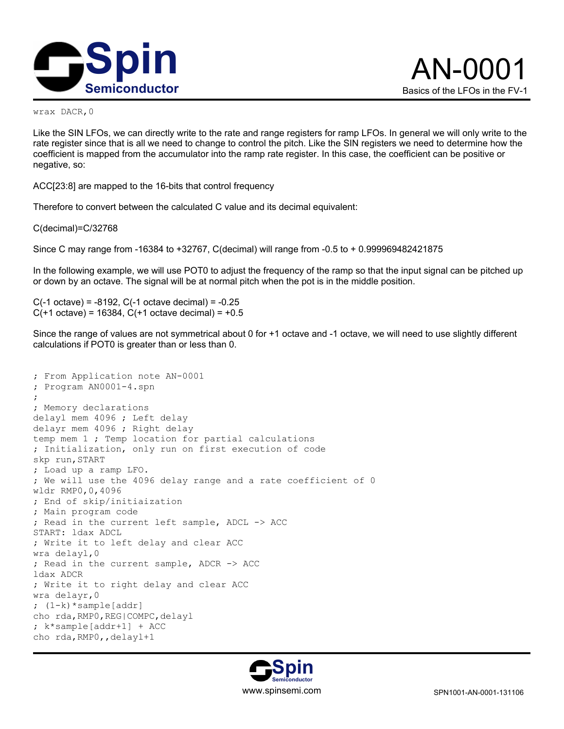

wrax DACR,0

Like the SIN LFOs, we can directly write to the rate and range registers for ramp LFOs. In general we will only write to the rate register since that is all we need to change to control the pitch. Like the SIN registers we need to determine how the coefficient is mapped from the accumulator into the ramp rate register. In this case, the coefficient can be positive or negative, so:

ACC[23:8] are mapped to the 16-bits that control frequency

Therefore to convert between the calculated C value and its decimal equivalent:

C(decimal)=C/32768

Since C may range from -16384 to +32767, C(decimal) will range from -0.5 to + 0.999969482421875

In the following example, we will use POT0 to adjust the frequency of the ramp so that the input signal can be pitched up or down by an octave. The signal will be at normal pitch when the pot is in the middle position.

C(-1 octave) = -8192, C(-1 octave decimal) = -0.25  $C(+1 \text{ octave}) = 16384$ ,  $C(+1 \text{ octave decimal}) = +0.5$ 

Since the range of values are not symmetrical about 0 for +1 octave and -1 octave, we will need to use slightly different calculations if POT0 is greater than or less than 0.

```
; From Application note AN-0001 
; Program AN0001-4.spn 
; 
; Memory declarations 
delayl mem 4096 ; Left delay 
delayr mem 4096 ; Right delay 
temp mem 1 ; Temp location for partial calculations 
; Initialization, only run on first execution of code 
skp run, START
; Load up a ramp LFO. 
; We will use the 4096 delay range and a rate coefficient of 0 
wldr RMP0,0,4096 
; End of skip/initiaization 
; Main program code 
; Read in the current left sample, ADCL -> ACC 
START: ldax ADCL 
; Write it to left delay and clear ACC 
wra delayl,0 
; Read in the current sample, ADCR -> ACC 
ldax ADCR 
; Write it to right delay and clear ACC 
wra delayr,0 
; (1-k)*sample[addr] 
cho rda, RMP0, REG|COMPC, delayl
; k*sample[addr+1] + ACC 
cho rda, RMP0, , delayl+1
```
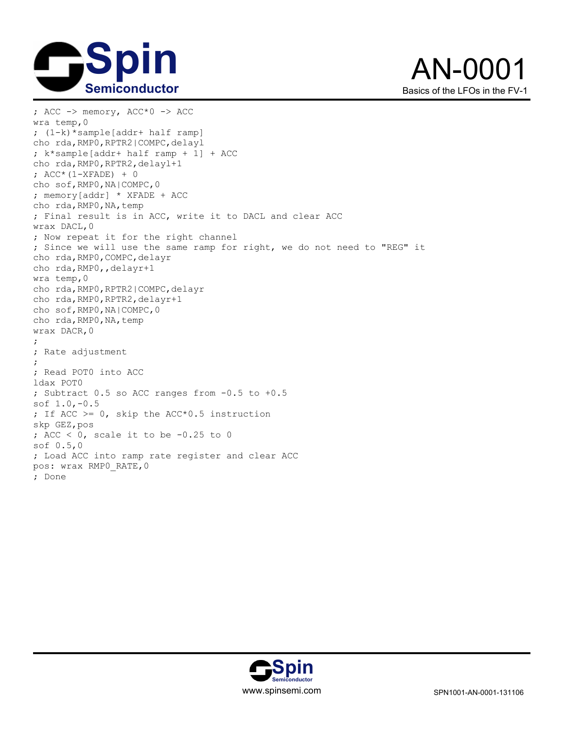



```
; ACC \rightarrow memory, ACC^*O \rightarrow ACCwra temp,0 
; (1-k)*sample[addr+ half ramp] 
cho rda, RMP0, RPTR2|COMPC, delayl
; k*sample[addr+ half ramp + 1] + ACC 
cho rda,RMP0,RPTR2,delayl+1 
; ACC*(1-XFADE) + 0
cho sof,RMP0,NA|COMPC,0 
; memory[addr] * XFADE + ACC 
cho rda, RMP0, NA, temp
; Final result is in ACC, write it to DACL and clear ACC 
wrax DACL,0 
; Now repeat it for the right channel 
; Since we will use the same ramp for right, we do not need to "REG" it 
cho rda, RMP0, COMPC, delayr
cho rda,RMP0,,delayr+1 
wra temp,0 
cho rda,RMP0,RPTR2|COMPC,delayr 
cho rda,RMP0,RPTR2,delayr+1 
cho sof,RMP0,NA|COMPC,0 
cho rda, RMP0, NA, temp
wrax DACR,0 
; 
; Rate adjustment 
; 
; Read POT0 into ACC 
ldax POT0 
; Subtract 0.5 so ACC ranges from -0.5 to +0.5 
sof 1.0,-0.5 
; If ACC >= 0, skip the ACC*0.5 instruction 
skp GEZ,pos 
; ACC < 0, scale it to be -0.25 to 0 
sof 0.5,0 
; Load ACC into ramp rate register and clear ACC 
pos: wrax RMP0_RATE,0 
; Done
```